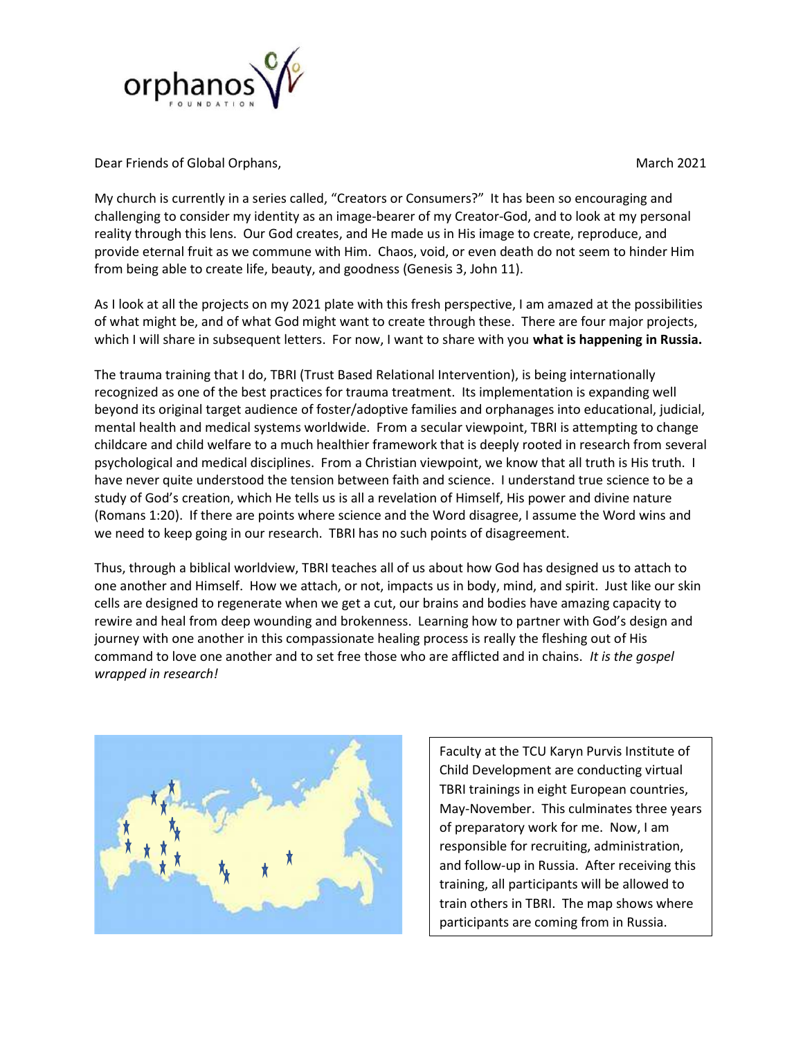

Dear Friends of Global Orphans, National Communication of the March 2021 March 2021

My church is currently in a series called, "Creators or Consumers?" It has been so encouraging and challenging to consider my identity as an image-bearer of my Creator-God, and to look at my personal reality through this lens. Our God creates, and He made us in His image to create, reproduce, and provide eternal fruit as we commune with Him. Chaos, void, or even death do not seem to hinder Him from being able to create life, beauty, and goodness (Genesis 3, John 11).

As I look at all the projects on my 2021 plate with this fresh perspective, I am amazed at the possibilities of what might be, and of what God might want to create through these. There are four major projects, which I will share in subsequent letters. For now, I want to share with you what is happening in Russia.

The trauma training that I do, TBRI (Trust Based Relational Intervention), is being internationally recognized as one of the best practices for trauma treatment. Its implementation is expanding well beyond its original target audience of foster/adoptive families and orphanages into educational, judicial, mental health and medical systems worldwide. From a secular viewpoint, TBRI is attempting to change childcare and child welfare to a much healthier framework that is deeply rooted in research from several psychological and medical disciplines. From a Christian viewpoint, we know that all truth is His truth. I have never quite understood the tension between faith and science. I understand true science to be a study of God's creation, which He tells us is all a revelation of Himself, His power and divine nature (Romans 1:20). If there are points where science and the Word disagree, I assume the Word wins and we need to keep going in our research. TBRI has no such points of disagreement.

Thus, through a biblical worldview, TBRI teaches all of us about how God has designed us to attach to one another and Himself. How we attach, or not, impacts us in body, mind, and spirit. Just like our skin cells are designed to regenerate when we get a cut, our brains and bodies have amazing capacity to rewire and heal from deep wounding and brokenness. Learning how to partner with God's design and journey with one another in this compassionate healing process is really the fleshing out of His command to love one another and to set free those who are afflicted and in chains. It is the gospel wrapped in research!



Faculty at the TCU Karyn Purvis Institute of Child Development are conducting virtual TBRI trainings in eight European countries, May-November. This culminates three years of preparatory work for me. Now, I am responsible for recruiting, administration, and follow-up in Russia. After receiving this training, all participants will be allowed to train others in TBRI. The map shows where participants are coming from in Russia.